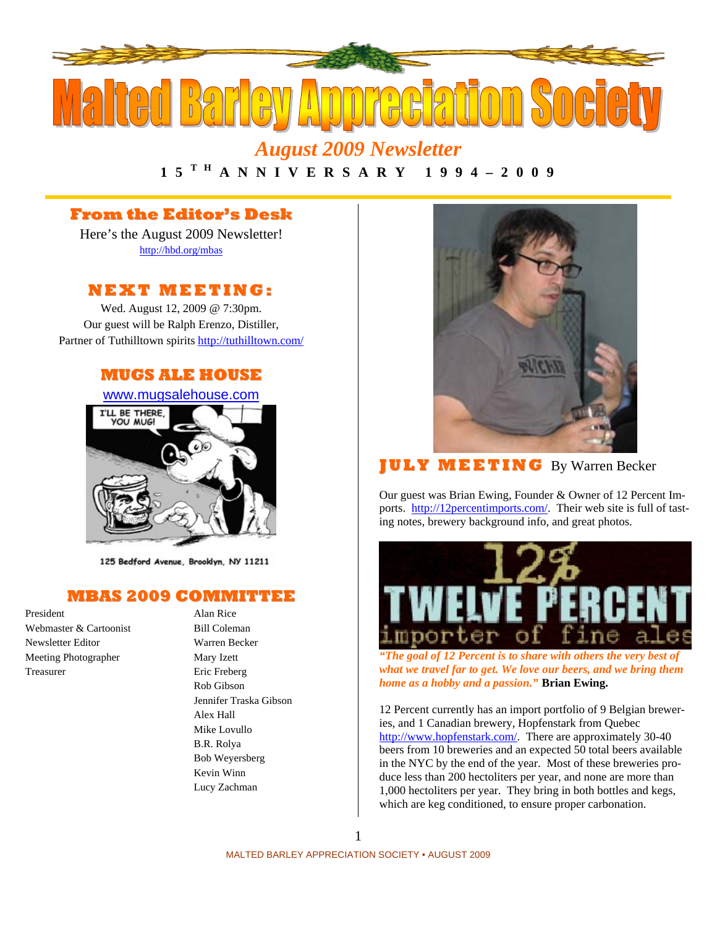

# *August 2009 Newsletter*

## **1 5 T H A N N I V E R S A R Y 1 9 9 4 – 2 0 0 9**

## **From the Editor's Desk**

Here's the August 2009 Newsletter! http://hbd.org/mbas

### **NEXT MEETI NG:**

Wed. August 12, 2009 @ 7:30pm. Our guest will be Ralph Erenzo, Distiller, Partner of Tuthilltown spirits http://tuthilltown.com/

#### **MUGS ALE HOUSE**

www.mugsalehouse.com



125 Bedford Avenue, Brooklyn, NY 11211

#### **MBAS 2009 COMMITTEE**

President Alan Rice Webmaster & Cartoonist Bill Coleman Newsletter Editor Warren Becker Meeting Photographer Mary Izett Treasurer Eric Freberg

Rob Gibson Jennifer Traska Gibson Alex Hall Mike Lovullo B.R. Rolya Bob Weyersberg Kevin Winn Lucy Zachman



## **J U LY MEETI NG** By Warren Becker

Our guest was Brian Ewing, Founder & Owner of 12 Percent Imports. http://12percentimports.com/. Their web site is full of tasting notes, brewery background info, and great photos.



*"The goal of 12 Percent is to share with others the very best of what we travel far to get. We love our beers, and we bring them home as a hobby and a passion."* **Brian Ewing.** 

12 Percent currently has an import portfolio of 9 Belgian breweries, and 1 Canadian brewery, Hopfenstark from Quebec http://www.hopfenstark.com/. There are approximately 30-40 beers from 10 breweries and an expected 50 total beers available in the NYC by the end of the year. Most of these breweries produce less than 200 hectoliters per year, and none are more than 1,000 hectoliters per year. They bring in both bottles and kegs, which are keg conditioned, to ensure proper carbonation.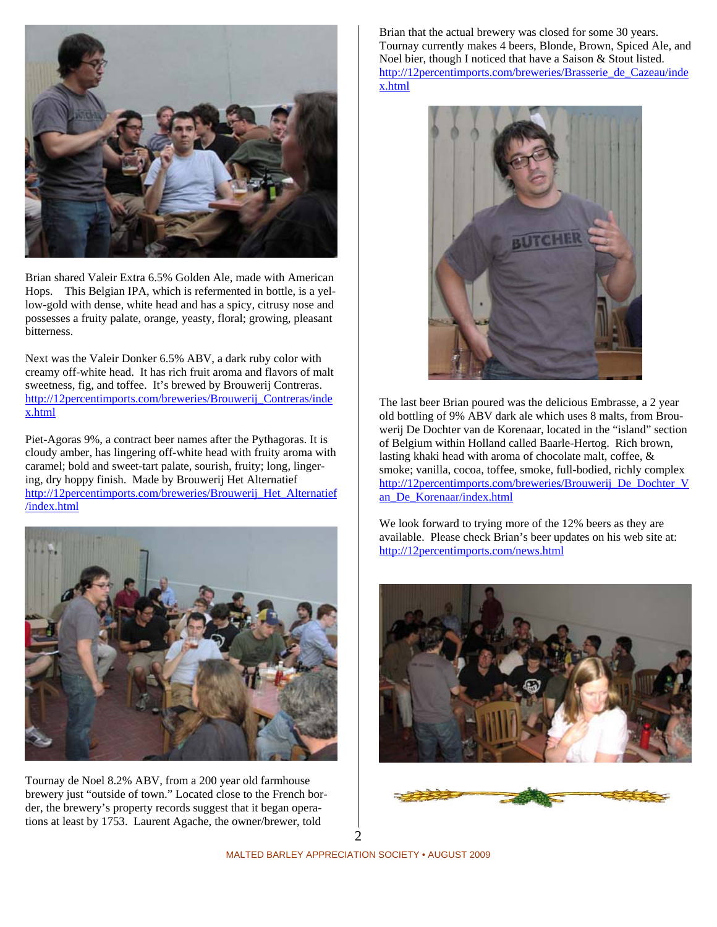

Brian shared Valeir Extra 6.5% Golden Ale, made with American Hops. This Belgian IPA, which is refermented in bottle, is a yellow-gold with dense, white head and has a spicy, citrusy nose and possesses a fruity palate, orange, yeasty, floral; growing, pleasant bitterness.

Next was the Valeir Donker 6.5% ABV, a dark ruby color with creamy off-white head. It has rich fruit aroma and flavors of malt sweetness, fig, and toffee. It's brewed by Brouwerij Contreras. http://12percentimports.com/breweries/Brouwerij\_Contreras/inde x.html

Piet-Agoras 9%, a contract beer names after the Pythagoras. It is cloudy amber, has lingering off-white head with fruity aroma with caramel; bold and sweet-tart palate, sourish, fruity; long, lingering, dry hoppy finish. Made by Brouwerij Het Alternatief http://12percentimports.com/breweries/Brouwerij\_Het\_Alternatief /index.html



Tournay de Noel 8.2% ABV, from a 200 year old farmhouse brewery just "outside of town." Located close to the French border, the brewery's property records suggest that it began operations at least by 1753. Laurent Agache, the owner/brewer, told

Brian that the actual brewery was closed for some 30 years. Tournay currently makes 4 beers, Blonde, Brown, Spiced Ale, and Noel bier, though I noticed that have a Saison & Stout listed. http://12percentimports.com/breweries/Brasserie\_de\_Cazeau/inde x.html



The last beer Brian poured was the delicious Embrasse, a 2 year old bottling of 9% ABV dark ale which uses 8 malts, from Brouwerij De Dochter van de Korenaar, located in the "island" section of Belgium within Holland called Baarle-Hertog. Rich brown, lasting khaki head with aroma of chocolate malt, coffee, & smoke; vanilla, cocoa, toffee, smoke, full-bodied, richly complex http://12percentimports.com/breweries/Brouwerij\_De\_Dochter\_V an\_De\_Korenaar/index.html

We look forward to trying more of the 12% beers as they are available. Please check Brian's beer updates on his web site at: http://12percentimports.com/news.html



2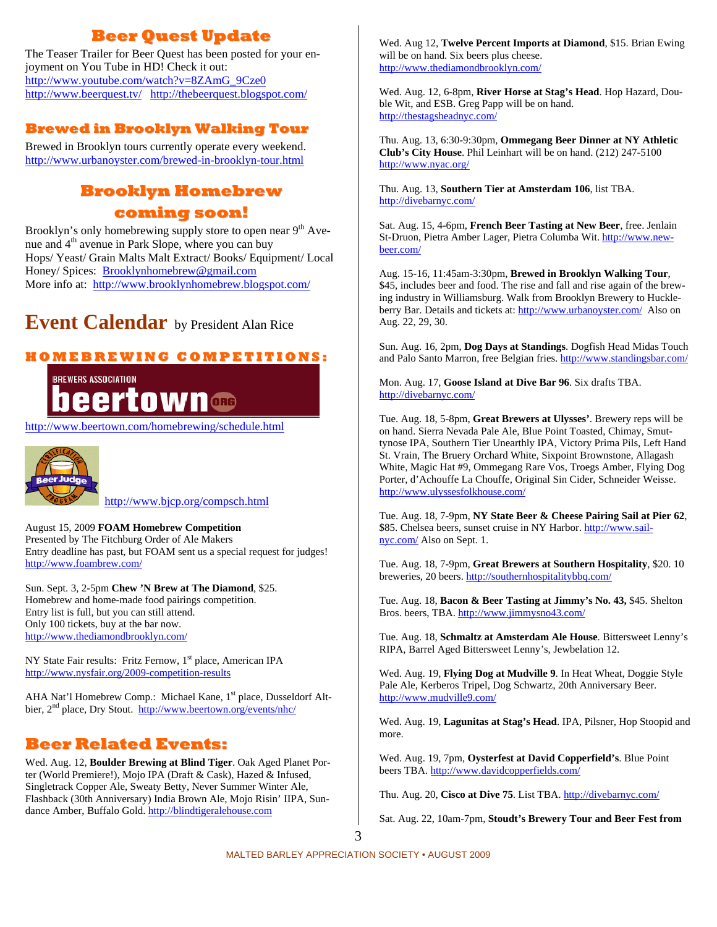## **Beer Quest Update**

The Teaser Trailer for Beer Quest has been posted for your enjoyment on You Tube in HD! Check it out: http://www.youtube.com/watch?v=8ZAmG\_9Cze0 http://www.beerquest.tv/ http://thebeerquest.blogspot.com/

## **Brewed in Brooklyn Walking Tour**

Brewed in Brooklyn tours currently operate every weekend. http://www.urbanoyster.com/brewed-in-brooklyn-tour.html

## **Brooklyn Homebrew coming soon!**

Brooklyn's only homebrewing supply store to open near  $9<sup>th</sup>$  Avenue and  $4<sup>th</sup>$  avenue in Park Slope, where you can buy Hops/ Yeast/ Grain Malts Malt Extract/ Books/ Equipment/ Local Honey/ Spices: Brooklynhomebrew@gmail.com More info at: http://www.brooklynhomebrew.blogspot.com/

## **Event Calendar** by President Alan Rice

#### **H O M E B R E WI N G C O M P E TI TI O N S:**



http://www.beertown.com/homebrewing/schedule.html



http://www.bjcp.org/compsch.html

#### August 15, 2009 **FOAM Homebrew Competition**

Presented by The Fitchburg Order of Ale Makers Entry deadline has past, but FOAM sent us a special request for judges! http://www.foambrew.com/

Sun. Sept. 3, 2-5pm **Chew 'N Brew at The Diamond**, \$25. Homebrew and home-made food pairings competition. Entry list is full, but you can still attend. Only 100 tickets, buy at the bar now. http://www.thediamondbrooklyn.com/

NY State Fair results: Fritz Fernow, 1<sup>st</sup> place, American IPA http://www.nysfair.org/2009-competition-results

AHA Nat'l Homebrew Comp.: Michael Kane, 1<sup>st</sup> place, Dusseldorf Altbier, 2<sup>nd</sup> place, Dry Stout. http://www.beertown.org/events/nhc/

## **Beer Related Events:**

Wed. Aug. 12, **Boulder Brewing at Blind Tiger**. Oak Aged Planet Porter (World Premiere!), Mojo IPA (Draft & Cask), Hazed & Infused, Singletrack Copper Ale, Sweaty Betty, Never Summer Winter Ale, Flashback (30th Anniversary) India Brown Ale, Mojo Risin' IIPA, Sundance Amber, Buffalo Gold. http://blindtigeralehouse.com

Wed. Aug 12, **Twelve Percent Imports at Diamond**, \$15. Brian Ewing will be on hand. Six beers plus cheese. http://www.thediamondbrooklyn.com/

Wed. Aug. 12, 6-8pm, **River Horse at Stag's Head**. Hop Hazard, Double Wit, and ESB. Greg Papp will be on hand. http://thestagsheadnyc.com/

Thu. Aug. 13, 6:30-9:30pm, **Ommegang Beer Dinner at NY Athletic Club's City House**. Phil Leinhart will be on hand. (212) 247-5100 http://www.nyac.org/

Thu. Aug. 13, **Southern Tier at Amsterdam 106**, list TBA. http://divebarnyc.com/

Sat. Aug. 15, 4-6pm, **French Beer Tasting at New Beer**, free. Jenlain St-Druon, Pietra Amber Lager, Pietra Columba Wit. http://www.newbeer.com/

Aug. 15-16, 11:45am-3:30pm, **Brewed in Brooklyn Walking Tour**, \$45, includes beer and food. The rise and fall and rise again of the brewing industry in Williamsburg. Walk from Brooklyn Brewery to Huckleberry Bar. Details and tickets at: http://www.urbanoyster.com/ Also on Aug. 22, 29, 30.

Sun. Aug. 16, 2pm, **Dog Days at Standings**. Dogfish Head Midas Touch and Palo Santo Marron, free Belgian fries. http://www.standingsbar.com/

Mon. Aug. 17, **Goose Island at Dive Bar 96**. Six drafts TBA. http://divebarnyc.com/

Tue. Aug. 18, 5-8pm, **Great Brewers at Ulysses'**. Brewery reps will be on hand. Sierra Nevada Pale Ale, Blue Point Toasted, Chimay, Smuttynose IPA, Southern Tier Unearthly IPA, Victory Prima Pils, Left Hand St. Vrain, The Bruery Orchard White, Sixpoint Brownstone, Allagash White, Magic Hat #9, Ommegang Rare Vos, Troegs Amber, Flying Dog Porter, d'Achouffe La Chouffe, Original Sin Cider, Schneider Weisse. http://www.ulyssesfolkhouse.com/

Tue. Aug. 18, 7-9pm, **NY State Beer & Cheese Pairing Sail at Pier 62**, \$85. Chelsea beers, sunset cruise in NY Harbor. http://www.sailnyc.com/ Also on Sept. 1.

Tue. Aug. 18, 7-9pm, **Great Brewers at Southern Hospitality**, \$20. 10 breweries, 20 beers. http://southernhospitalitybbq.com/

Tue. Aug. 18, **Bacon & Beer Tasting at Jimmy's No. 43,** \$45. Shelton Bros. beers, TBA. http://www.jimmysno43.com/

Tue. Aug. 18, **Schmaltz at Amsterdam Ale House**. Bittersweet Lenny's RIPA, Barrel Aged Bittersweet Lenny's, Jewbelation 12.

Wed. Aug. 19, **Flying Dog at Mudville 9**. In Heat Wheat, Doggie Style Pale Ale, Kerberos Tripel, Dog Schwartz, 20th Anniversary Beer. http://www.mudville9.com/

Wed. Aug. 19, **Lagunitas at Stag's Head**. IPA, Pilsner, Hop Stoopid and more.

Wed. Aug. 19, 7pm, **Oysterfest at David Copperfield's**. Blue Point beers TBA. http://www.davidcopperfields.com/

Thu. Aug. 20, **Cisco at Dive 75**. List TBA. http://divebarnyc.com/

Sat. Aug. 22, 10am-7pm, **Stoudt's Brewery Tour and Beer Fest from**